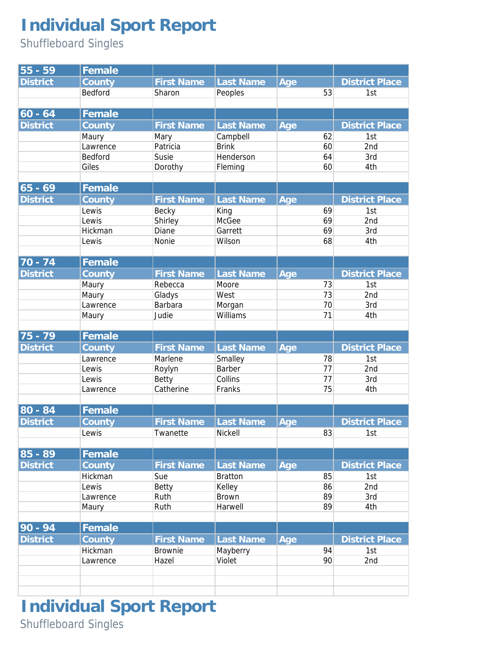## **Individual Sport Report**

Shuffleboard Singles

| $55 - 59$       | Female   |                   |                  |     |    |                       |
|-----------------|----------|-------------------|------------------|-----|----|-----------------------|
| <b>District</b> | County   | <b>First Name</b> | Last Name        | Age |    | <b>District Place</b> |
|                 | Bedford  | Sharon            | Peoples          |     | 53 | 1st                   |
|                 |          |                   |                  |     |    |                       |
| $60 - 64$       | Female   |                   |                  |     |    |                       |
| <b>District</b> | County   | <b>First Name</b> | Last Name        | Age |    | <b>District Place</b> |
|                 | Maury    | Mary              | Campbell         |     | 62 | 1st                   |
|                 | Lawrence | Patricia          | <b>Brink</b>     |     | 60 | 2nd                   |
|                 | Bedford  | Susie             | Henderson        |     | 64 | 3rd                   |
|                 | Giles    | Dorothy           | Fleming          |     | 60 | 4th                   |
|                 |          |                   |                  |     |    |                       |
| $65 - 69$       | Female   |                   |                  |     |    |                       |
| <b>District</b> | County   | <b>First Name</b> | Last Name        | Age |    | <b>District Place</b> |
|                 | Lewis    | Becky             | King             |     | 69 | 1st                   |
|                 | Lewis    | Shirley           | McGee            |     | 69 | 2nd                   |
|                 | Hickman  | Diane             | Garrett          |     | 69 | 3rd                   |
|                 | Lewis    | Nonie             | Wilson           |     | 68 | 4th                   |
|                 |          |                   |                  |     |    |                       |
| $70 - 74$       | Female   |                   |                  |     |    |                       |
| <b>District</b> | County   | <b>First Name</b> | <b>Last Name</b> | Age |    | <b>District Place</b> |
|                 | Maury    | Rebecca           | Moore            |     | 73 | 1st                   |
|                 | Maury    | Gladys            | West             |     | 73 | 2nd                   |
|                 | Lawrence | Barbara           | Morgan           |     | 70 | 3rd                   |
|                 | Maury    | Judie             | Williams         |     | 71 | 4th                   |
|                 |          |                   |                  |     |    |                       |
| $75 - 79$       | Female   |                   |                  |     |    |                       |
| <b>District</b> | County   | <b>First Name</b> | Last Name        | Age |    | <b>District Place</b> |
|                 | Lawrence | Marlene           | Smalley          |     | 78 | 1st                   |
|                 | Lewis    | Roylyn            | Barber           |     | 77 | 2nd                   |
|                 | Lewis    | Betty             | Collins          |     | 77 | 3rd                   |
|                 | Lawrence | Catherine         | Franks           |     | 75 | 4th                   |
|                 |          |                   |                  |     |    |                       |
| $80 - 84$       | Female   |                   |                  |     |    |                       |
| <b>District</b> | County   | <b>First Name</b> | Last Name        | Age |    | <b>District Place</b> |
|                 | Lewis    | Twanette          | Nickell          |     | 83 | 1st                   |
| $85 - 89$       | Female   |                   |                  |     |    |                       |
| <b>District</b> | County   | <b>First Name</b> | Last Name        | Age |    | <b>District Place</b> |
|                 | Hickman  | Sue               | <b>Bratton</b>   |     | 85 | 1st                   |
|                 | Lewis    | Betty             | Kelley           |     | 86 | 2nd                   |
|                 | Lawrence | Ruth              | <b>Brown</b>     |     | 89 | 3rd                   |
|                 | Maury    | Ruth              | Harwell          |     | 89 | 4th                   |
|                 |          |                   |                  |     |    |                       |
| $90 - 94$       | Female   |                   |                  |     |    |                       |
| <b>District</b> | County   | <b>First Name</b> | Last Name        | Age |    | <b>District Place</b> |
|                 | Hickman  | <b>Brownie</b>    | Mayberry         |     | 94 | 1st                   |
|                 | Lawrence | Hazel             | Violet           |     | 90 | 2nd                   |
|                 |          |                   |                  |     |    |                       |
|                 |          |                   |                  |     |    |                       |
|                 |          |                   |                  |     |    |                       |

**Individual Sport Report** Shuffleboard Singles